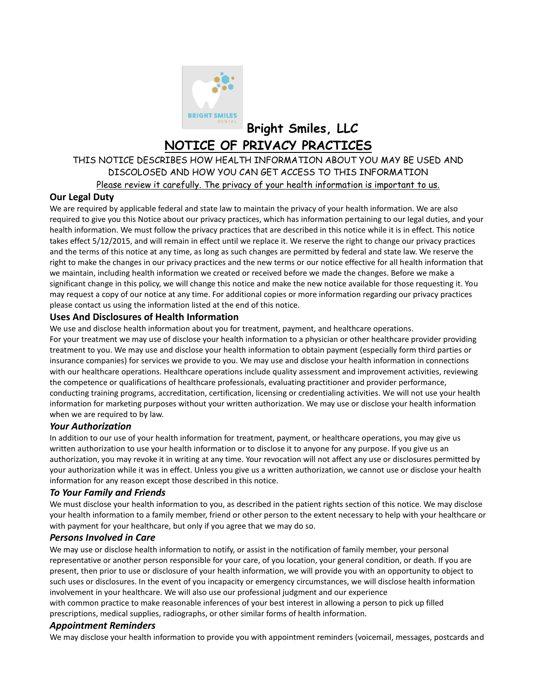

**Bright Smiles, LLC NOTICE OF PRIVACY PRACTICES**

# THIS NOTICE DESCRIBES HOW HEALTH INFORMATION ABOUT YOU MAY BE USED AND DISCOLOSED AND HOW YOU CAN GET ACCESS TO THIS INFORMATION Please review it carefully. The privacy of your health information is important to us.

## **Our Legal Duty**

We are required by applicable federal and state law to maintain the privacy of your health information. We are also required to give you this Notice about our privacy practices, which has information pertaining to our legal duties, and your health information. We must follow the privacy practices that are described in this notice while it is in effect. This notice takes effect 5/12/2015, and will remain in effect until we replace it. We reserve the right to change our privacy practices and the terms of this notice at any time, as long as such changes are permitted by federal and state law. We reserve the right to make the changes in our privacy practices and the new terms or our notice effective for all health information that we maintain, including health information we created or received before we made the changes. Before we make a significant change in this policy, we will change this notice and make the new notice available for those requesting it. You may request a copy of our notice at any time. For additional copies or more information regarding our privacy practices please contact us using the information listed at the end of this notice.

### **Uses And Disclosures of Health Information**

We use and disclose health information about you for treatment, payment, and healthcare operations. For your treatment we may use of disclose your health information to a physician or other healthcare provider providing

treatment to you. We may use and disclose your health information to obtain payment (especially form third parties or insurance companies) for services we provide to you. We may use and disclose your health information in connections with our healthcare operations. Healthcare operations include quality assessment and improvement activities, reviewing the competence or qualifications of healthcare professionals, evaluating practitioner and provider performance, conducting training programs, accreditation, certification, licensing or credentialing activities. We will not use your health information for marketing purposes without your written authorization. We may use or disclose your health information when we are required to by law.

### *Your Authorization*

In addition to our use of your health information for treatment, payment, or healthcare operations, you may give us written authorization to use your health information or to disclose it to anyone for any purpose. If you give us an authorization, you may revoke it in writing at any time. Your revocation will not affect any use or disclosures permitted by your authorization while it was in effect. Unless you give us a written authorization, we cannot use or disclose your health information for any reason except those described in this notice.

### *To Your Family and Friends*

We must disclose your health information to you, as described in the patient rights section of this notice. We may disclose your health information to a family member, friend or other person to the extent necessary to help with your healthcare or with payment for your healthcare, but only if you agree that we may do so.

#### *Persons Involved in Care*

We may use or disclose health information to notify, or assist in the notification of family member, your personal representative or another person responsible for your care, of you location, your general condition, or death. If you are present, then prior to use or disclosure of your health information, we will provide you with an opportunity to object to such uses or disclosures. In the event of you incapacity or emergency circumstances, we will disclose health information involvement in your healthcare. We will also use our professional judgment and our experience

with common practice to make reasonable inferences of your best interest in allowing a person to pick up filled prescriptions, medical supplies, radiographs, or other similar forms of health information.

### *Appointment Reminders*

We may disclose your health information to provide you with appointment reminders (voicemail, messages, postcards and